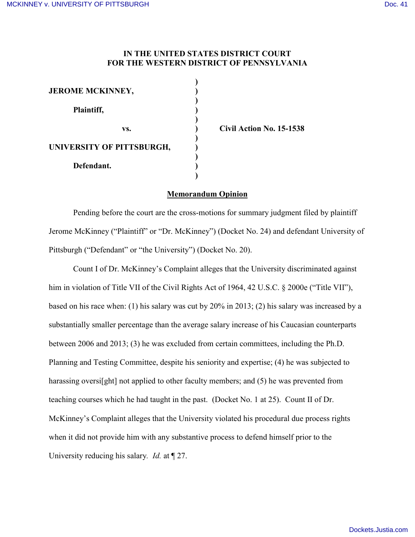## **IN THE UNITED STATES DISTRICT COURT FOR THE WESTERN DISTRICT OF PENNSYLVANIA**

**)**

**)**

| <b>JEROME MCKINNEY,</b>   |  |
|---------------------------|--|
| Plaintiff,                |  |
| VS.                       |  |
| UNIVERSITY OF PITTSBURGH, |  |
| Defendant.                |  |

**vs. ) Civil Action No. 15-1538**

## **Memorandum Opinion**

Pending before the court are the cross-motions for summary judgment filed by plaintiff Jerome McKinney ("Plaintiff" or "Dr. McKinney") (Docket No. 24) and defendant University of Pittsburgh ("Defendant" or "the University") (Docket No. 20).

Count I of Dr. McKinney's Complaint alleges that the University discriminated against him in violation of Title VII of the Civil Rights Act of 1964, 42 U.S.C. § 2000e ("Title VII"), based on his race when: (1) his salary was cut by 20% in 2013; (2) his salary was increased by a substantially smaller percentage than the average salary increase of his Caucasian counterparts between 2006 and 2013; (3) he was excluded from certain committees, including the Ph.D. Planning and Testing Committee, despite his seniority and expertise; (4) he was subjected to harassing oversies and integral to other faculty members; and (5) he was prevented from teaching courses which he had taught in the past. (Docket No. 1 at 25). Count II of Dr. McKinney's Complaint alleges that the University violated his procedural due process rights when it did not provide him with any substantive process to defend himself prior to the University reducing his salary*. Id.* at ¶ 27.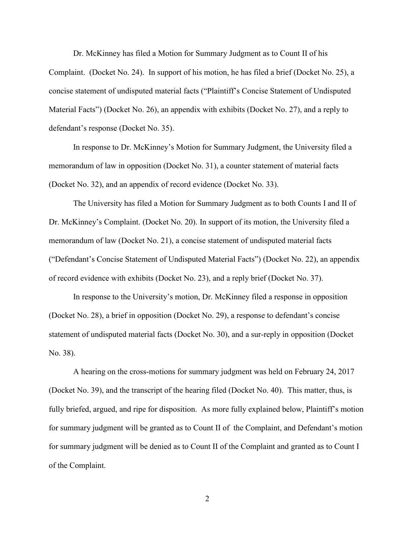Dr. McKinney has filed a Motion for Summary Judgment as to Count II of his Complaint. (Docket No. 24). In support of his motion, he has filed a brief (Docket No. 25), a concise statement of undisputed material facts ("Plaintiff's Concise Statement of Undisputed Material Facts") (Docket No. 26), an appendix with exhibits (Docket No. 27), and a reply to defendant's response (Docket No. 35).

In response to Dr. McKinney's Motion for Summary Judgment, the University filed a memorandum of law in opposition (Docket No. 31), a counter statement of material facts (Docket No. 32), and an appendix of record evidence (Docket No. 33).

The University has filed a Motion for Summary Judgment as to both Counts I and II of Dr. McKinney's Complaint. (Docket No. 20). In support of its motion, the University filed a memorandum of law (Docket No. 21), a concise statement of undisputed material facts ("Defendant's Concise Statement of Undisputed Material Facts") (Docket No. 22), an appendix of record evidence with exhibits (Docket No. 23), and a reply brief (Docket No. 37).

In response to the University's motion, Dr. McKinney filed a response in opposition (Docket No. 28), a brief in opposition (Docket No. 29), a response to defendant's concise statement of undisputed material facts (Docket No. 30), and a sur-reply in opposition (Docket No. 38).

A hearing on the cross-motions for summary judgment was held on February 24, 2017 (Docket No. 39), and the transcript of the hearing filed (Docket No. 40). This matter, thus, is fully briefed, argued, and ripe for disposition. As more fully explained below, Plaintiff's motion for summary judgment will be granted as to Count II of the Complaint, and Defendant's motion for summary judgment will be denied as to Count II of the Complaint and granted as to Count I of the Complaint.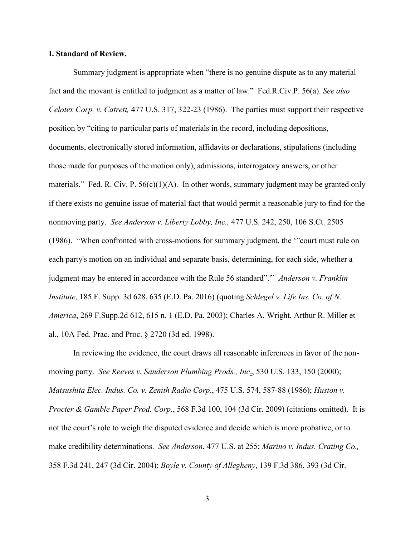#### **I. Standard of Review.**

Summary judgment is appropriate when "there is no genuine dispute as to any material fact and the movant is entitled to judgment as a matter of law." Fed.R.Civ.P. 56(a). *See also Celotex Corp. v. Catrett,* 477 U.S. 317, 322-23 (1986). The parties must support their respective position by "citing to particular parts of materials in the record, including depositions, documents, electronically stored information, affidavits or declarations, stipulations (including those made for purposes of the motion only), admissions, interrogatory answers, or other materials." Fed. R. Civ. P.  $56(c)(1)(A)$ . In other words, summary judgment may be granted only if there exists no genuine issue of material fact that would permit a reasonable jury to find for the nonmoving party. *See Anderson v. Liberty Lobby, Inc.,* 477 U.S. 242, 250, 106 S.Ct. 2505 (1986). "When confronted with cross-motions for summary judgment, the '"court must rule on each party's motion on an individual and separate basis, determining, for each side, whether a judgment may be entered in accordance with the Rule 56 standard".'" *Anderson v. Franklin Institute*, 185 F. Supp. 3d 628, 635 (E.D. Pa. 2016) (quoting *Schlegel v. Life Ins. Co. of N. America*, 269 F.Supp.2d 612, 615 n. 1 (E.D. Pa. 2003); Charles A. Wright, Arthur R. Miller et al., 10A Fed. Prac. and Proc. § 2720 (3d ed. 1998).

In reviewing the evidence, the court draws all reasonable inferences in favor of the nonmoving party. *See Reeves v. Sanderson Plumbing Prods., Inc*., 530 U.S. 133, 150 (2000); *Matsushita Elec. Indus. Co. v. Zenith Radio Corp*., 475 U.S. 574, 587-88 (1986); *Huston v. Procter & Gamble Paper Prod. Corp.*, 568 F.3d 100, 104 (3d Cir. 2009) (citations omitted). It is not the court's role to weigh the disputed evidence and decide which is more probative, or to make credibility determinations. *See Anderson*, 477 U.S. at 255; *Marino v. Indus. Crating Co.,*  358 F.3d 241, 247 (3d Cir. 2004); *Boyle v. County of Allegheny*, 139 F.3d 386, 393 (3d Cir.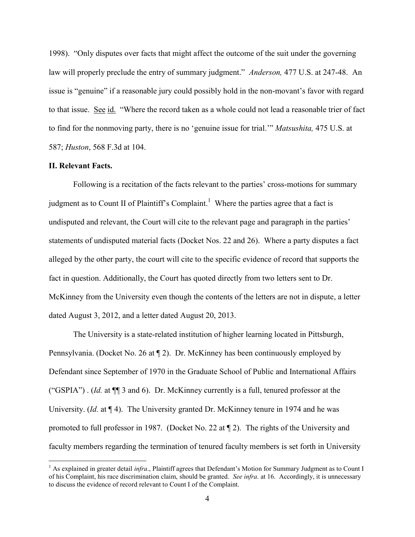1998). "Only disputes over facts that might affect the outcome of the suit under the governing law will properly preclude the entry of summary judgment." *Anderson,* 477 U.S. at 247-48. An issue is "genuine" if a reasonable jury could possibly hold in the non-movant's favor with regard to that issue. See id. "Where the record taken as a whole could not lead a reasonable trier of fact to find for the nonmoving party, there is no 'genuine issue for trial.'" *Matsushita,* 475 U.S. at 587; *Huston*, 568 F.3d at 104.

#### **II. Relevant Facts.**

 $\overline{a}$ 

Following is a recitation of the facts relevant to the parties' cross-motions for summary judgment as to Count II of Plaintiff's Complaint.<sup>1</sup> Where the parties agree that a fact is undisputed and relevant, the Court will cite to the relevant page and paragraph in the parties' statements of undisputed material facts (Docket Nos. 22 and 26). Where a party disputes a fact alleged by the other party, the court will cite to the specific evidence of record that supports the fact in question. Additionally, the Court has quoted directly from two letters sent to Dr. McKinney from the University even though the contents of the letters are not in dispute, a letter dated August 3, 2012, and a letter dated August 20, 2013.

The University is a state-related institution of higher learning located in Pittsburgh, Pennsylvania. (Docket No. 26 at ¶ 2). Dr. McKinney has been continuously employed by Defendant since September of 1970 in the Graduate School of Public and International Affairs ("GSPIA") . (*Id.* at ¶¶ 3 and 6). Dr. McKinney currently is a full, tenured professor at the University. (*Id.* at  $\P$  4). The University granted Dr. McKinney tenure in 1974 and he was promoted to full professor in 1987. (Docket No. 22 at ¶ 2). The rights of the University and faculty members regarding the termination of tenured faculty members is set forth in University

<sup>1</sup> As explained in greater detail *infra*., Plaintiff agrees that Defendant's Motion for Summary Judgment as to Count I of his Complaint, his race discrimination claim, should be granted. *See infra*. at 16. Accordingly, it is unnecessary to discuss the evidence of record relevant to Count I of the Complaint.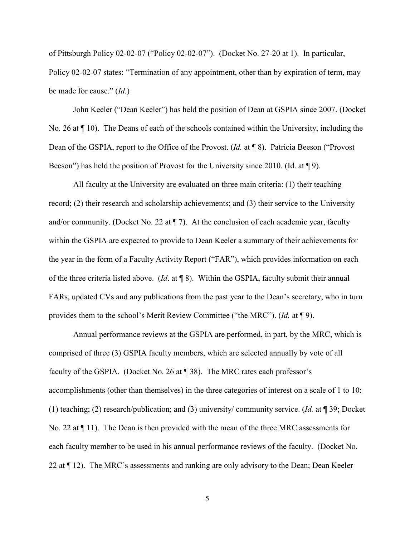of Pittsburgh Policy 02-02-07 ("Policy 02-02-07"). (Docket No. 27-20 at 1). In particular, Policy 02-02-07 states: "Termination of any appointment, other than by expiration of term, may be made for cause." (*Id.*)

John Keeler ("Dean Keeler") has held the position of Dean at GSPIA since 2007. (Docket No. 26 at ¶ 10). The Deans of each of the schools contained within the University, including the Dean of the GSPIA, report to the Office of the Provost. (*Id.* at ¶ 8). Patricia Beeson ("Provost Beeson") has held the position of Provost for the University since 2010. (Id. at ¶ 9).

All faculty at the University are evaluated on three main criteria: (1) their teaching record; (2) their research and scholarship achievements; and (3) their service to the University and/or community. (Docket No. 22 at  $\P$  7). At the conclusion of each academic year, faculty within the GSPIA are expected to provide to Dean Keeler a summary of their achievements for the year in the form of a Faculty Activity Report ("FAR"), which provides information on each of the three criteria listed above. (*Id*. at ¶ 8). Within the GSPIA, faculty submit their annual FARs, updated CVs and any publications from the past year to the Dean's secretary, who in turn provides them to the school's Merit Review Committee ("the MRC"). (*Id.* at ¶ 9).

Annual performance reviews at the GSPIA are performed, in part, by the MRC, which is comprised of three (3) GSPIA faculty members, which are selected annually by vote of all faculty of the GSPIA. (Docket No. 26 at ¶ 38). The MRC rates each professor's accomplishments (other than themselves) in the three categories of interest on a scale of 1 to 10: (1) teaching; (2) research/publication; and (3) university/ community service. (*Id.* at ¶ 39; Docket No. 22 at ¶ 11). The Dean is then provided with the mean of the three MRC assessments for each faculty member to be used in his annual performance reviews of the faculty. (Docket No. 22 at ¶ 12). The MRC's assessments and ranking are only advisory to the Dean; Dean Keeler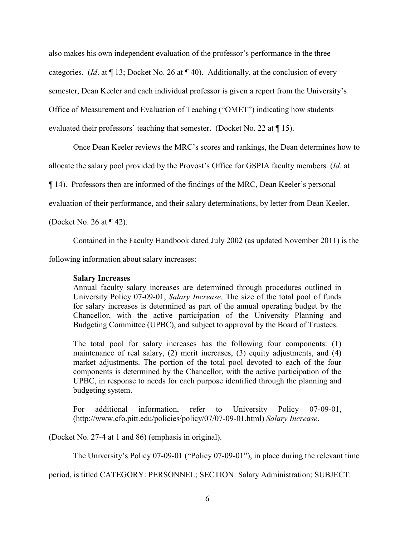also makes his own independent evaluation of the professor's performance in the three categories. (*Id*. at ¶ 13; Docket No. 26 at ¶ 40). Additionally, at the conclusion of every semester, Dean Keeler and each individual professor is given a report from the University's Office of Measurement and Evaluation of Teaching ("OMET") indicating how students evaluated their professors' teaching that semester. (Docket No. 22 at ¶ 15).

Once Dean Keeler reviews the MRC's scores and rankings, the Dean determines how to

allocate the salary pool provided by the Provost's Office for GSPIA faculty members. (*Id*. at

¶ 14). Professors then are informed of the findings of the MRC, Dean Keeler's personal

evaluation of their performance, and their salary determinations, by letter from Dean Keeler.

(Docket No. 26 at ¶ 42).

Contained in the Faculty Handbook dated July 2002 (as updated November 2011) is the

following information about salary increases:

#### **Salary Increases**

Annual faculty salary increases are determined through procedures outlined in University Policy 07-09-01, *Salary Increase*. The size of the total pool of funds for salary increases is determined as part of the annual operating budget by the Chancellor, with the active participation of the University Planning and Budgeting Committee (UPBC), and subject to approval by the Board of Trustees.

The total pool for salary increases has the following four components: (1) maintenance of real salary, (2) merit increases, (3) equity adjustments, and (4) market adjustments. The portion of the total pool devoted to each of the four components is determined by the Chancellor, with the active participation of the UPBC, in response to needs for each purpose identified through the planning and budgeting system.

For additional information, refer to University Policy 07-09-01, (http://www.cfo.pitt.edu/policies/policy/07/07-09-01.html) *Salary Increase*.

(Docket No. 27-4 at 1 and 86) (emphasis in original).

The University's Policy 07-09-01 ("Policy 07-09-01"), in place during the relevant time

period, is titled CATEGORY: PERSONNEL; SECTION: Salary Administration; SUBJECT: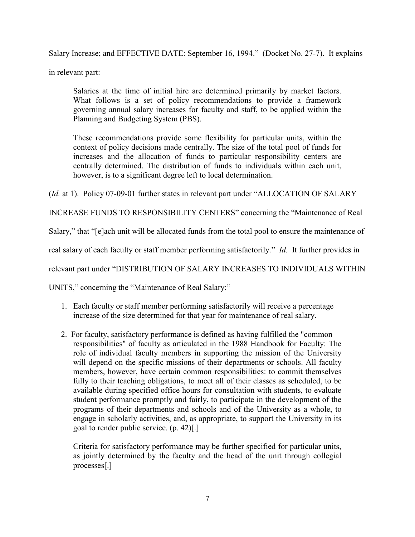Salary Increase; and EFFECTIVE DATE: September 16, 1994." (Docket No. 27-7). It explains

in relevant part:

Salaries at the time of initial hire are determined primarily by market factors. What follows is a set of policy recommendations to provide a framework governing annual salary increases for faculty and staff, to be applied within the Planning and Budgeting System (PBS).

These recommendations provide some flexibility for particular units, within the context of policy decisions made centrally. The size of the total pool of funds for increases and the allocation of funds to particular responsibility centers are centrally determined. The distribution of funds to individuals within each unit, however, is to a significant degree left to local determination.

(*Id.* at 1). Policy 07-09-01 further states in relevant part under "ALLOCATION OF SALARY

INCREASE FUNDS TO RESPONSIBILITY CENTERS" concerning the "Maintenance of Real

Salary," that "[e]ach unit will be allocated funds from the total pool to ensure the maintenance of

real salary of each faculty or staff member performing satisfactorily." *Id.* It further provides in

relevant part under "DISTRIBUTION OF SALARY INCREASES TO INDIVIDUALS WITHIN

UNITS," concerning the "Maintenance of Real Salary:"

- 1. Each faculty or staff member performing satisfactorily will receive a percentage increase of the size determined for that year for maintenance of real salary.
- 2. For faculty, satisfactory performance is defined as having fulfilled the "common responsibilities" of faculty as articulated in the 1988 Handbook for Faculty: The role of individual faculty members in supporting the mission of the University will depend on the specific missions of their departments or schools. All faculty members, however, have certain common responsibilities: to commit themselves fully to their teaching obligations, to meet all of their classes as scheduled, to be available during specified office hours for consultation with students, to evaluate student performance promptly and fairly, to participate in the development of the programs of their departments and schools and of the University as a whole, to engage in scholarly activities, and, as appropriate, to support the University in its goal to render public service. (p. 42)[.]

Criteria for satisfactory performance may be further specified for particular units, as jointly determined by the faculty and the head of the unit through collegial processes[.]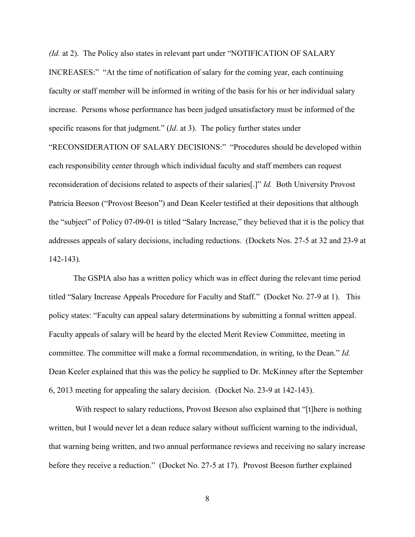*(Id.* at 2). The Policy also states in relevant part under "NOTIFICATION OF SALARY INCREASES:" "At the time of notification of salary for the coming year, each continuing faculty or staff member will be informed in writing of the basis for his or her individual salary increase. Persons whose performance has been judged unsatisfactory must be informed of the specific reasons for that judgment." (*Id*. at 3). The policy further states under "RECONSIDERATION OF SALARY DECISIONS:" "Procedures should be developed within each responsibility center through which individual faculty and staff members can request reconsideration of decisions related to aspects of their salaries[.]" *Id.* Both University Provost Patricia Beeson ("Provost Beeson") and Dean Keeler testified at their depositions that although the "subject" of Policy 07-09-01 is titled "Salary Increase," they believed that it is the policy that addresses appeals of salary decisions, including reductions. (Dockets Nos. 27-5 at 32 and 23-9 at 142-143).

The GSPIA also has a written policy which was in effect during the relevant time period titled "Salary Increase Appeals Procedure for Faculty and Staff." (Docket No. 27-9 at 1). This policy states: "Faculty can appeal salary determinations by submitting a formal written appeal. Faculty appeals of salary will be heard by the elected Merit Review Committee, meeting in committee. The committee will make a formal recommendation, in writing, to the Dean." *Id.* Dean Keeler explained that this was the policy he supplied to Dr. McKinney after the September 6, 2013 meeting for appealing the salary decision. (Docket No. 23-9 at 142-143).

With respect to salary reductions, Provost Beeson also explained that "[t]here is nothing written, but I would never let a dean reduce salary without sufficient warning to the individual, that warning being written, and two annual performance reviews and receiving no salary increase before they receive a reduction." (Docket No. 27-5 at 17). Provost Beeson further explained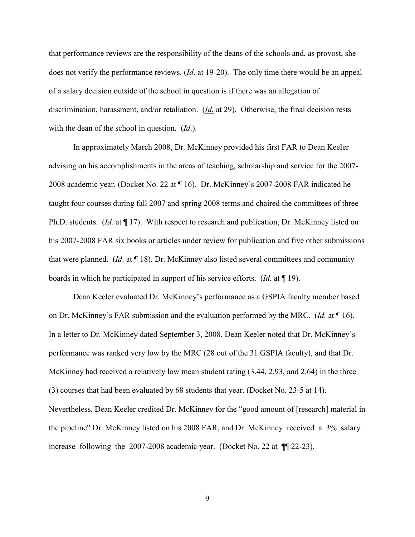that performance reviews are the responsibility of the deans of the schools and, as provost, she does not verify the performance reviews. (*Id*. at 19-20). The only time there would be an appeal of a salary decision outside of the school in question is if there was an allegation of discrimination, harassment, and/or retaliation. (*Id.* at 29). Otherwise, the final decision rests with the dean of the school in question. (*Id*.).

In approximately March 2008, Dr. McKinney provided his first FAR to Dean Keeler advising on his accomplishments in the areas of teaching, scholarship and service for the 2007- 2008 academic year. (Docket No. 22 at ¶ 16). Dr. McKinney's 2007-2008 FAR indicated he taught four courses during fall 2007 and spring 2008 terms and chaired the committees of three Ph.D. students. (*Id.* at ¶ 17). With respect to research and publication, Dr. McKinney listed on his 2007-2008 FAR six books or articles under review for publication and five other submissions that were planned. (*Id*. at ¶ 18). Dr. McKinney also listed several committees and community boards in which he participated in support of his service efforts. (*Id.* at ¶ 19).

Dean Keeler evaluated Dr. McKinney's performance as a GSPIA faculty member based on Dr. McKinney's FAR submission and the evaluation performed by the MRC. (*Id.* at ¶ 16). In a letter to Dr. McKinney dated September 3, 2008, Dean Keeler noted that Dr. McKinney's performance was ranked very low by the MRC (28 out of the 31 GSPIA faculty), and that Dr. McKinney had received a relatively low mean student rating (3.44, 2.93, and 2.64) in the three (3) courses that had been evaluated by 68 students that year. (Docket No. 23-5 at 14). Nevertheless, Dean Keeler credited Dr. McKinney for the "good amount of [research] material in the pipeline" Dr. McKinney listed on his 2008 FAR, and Dr. McKinney received a 3% salary increase following the 2007-2008 academic year. (Docket No. 22 at ¶¶ 22-23).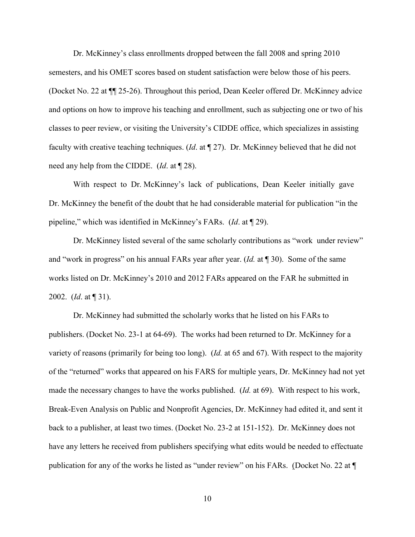Dr. McKinney's class enrollments dropped between the fall 2008 and spring 2010 semesters, and his OMET scores based on student satisfaction were below those of his peers. (Docket No. 22 at ¶¶ 25-26). Throughout this period, Dean Keeler offered Dr. McKinney advice and options on how to improve his teaching and enrollment, such as subjecting one or two of his classes to peer review, or visiting the University's CIDDE office, which specializes in assisting faculty with creative teaching techniques. (*Id*. at ¶ 27). Dr. McKinney believed that he did not need any help from the CIDDE. (*Id*. at ¶ 28).

With respect to Dr. McKinney's lack of publications, Dean Keeler initially gave Dr. McKinney the benefit of the doubt that he had considerable material for publication "in the pipeline," which was identified in McKinney's FARs. (*Id*. at ¶ 29).

Dr. McKinney listed several of the same scholarly contributions as "work under review" and "work in progress" on his annual FARs year after year. (*Id.* at ¶ 30). Some of the same works listed on Dr. McKinney's 2010 and 2012 FARs appeared on the FAR he submitted in 2002. (*Id*. at ¶ 31).

Dr. McKinney had submitted the scholarly works that he listed on his FARs to publishers. (Docket No. 23-1 at 64-69). The works had been returned to Dr. McKinney for a variety of reasons (primarily for being too long). (*Id.* at 65 and 67). With respect to the majority of the "returned" works that appeared on his FARS for multiple years, Dr. McKinney had not yet made the necessary changes to have the works published. (*Id.* at 69). With respect to his work, Break-Even Analysis on Public and Nonprofit Agencies, Dr. McKinney had edited it, and sent it back to a publisher, at least two times. (Docket No. 23-2 at 151-152). Dr. McKinney does not have any letters he received from publishers specifying what edits would be needed to effectuate publication for any of the works he listed as "under review" on his FARs. (Docket No. 22 at ¶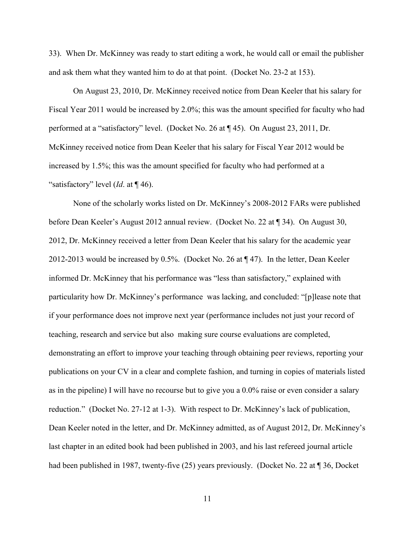33). When Dr. McKinney was ready to start editing a work, he would call or email the publisher and ask them what they wanted him to do at that point. (Docket No. 23-2 at 153).

On August 23, 2010, Dr. McKinney received notice from Dean Keeler that his salary for Fiscal Year 2011 would be increased by 2.0%; this was the amount specified for faculty who had performed at a "satisfactory" level. (Docket No. 26 at ¶ 45). On August 23, 2011, Dr. McKinney received notice from Dean Keeler that his salary for Fiscal Year 2012 would be increased by 1.5%; this was the amount specified for faculty who had performed at a "satisfactory" level (*Id*. at ¶ 46).

None of the scholarly works listed on Dr. McKinney's 2008-2012 FARs were published before Dean Keeler's August 2012 annual review. (Docket No. 22 at ¶ 34). On August 30, 2012, Dr. McKinney received a letter from Dean Keeler that his salary for the academic year 2012-2013 would be increased by 0.5%. (Docket No. 26 at ¶ 47). In the letter, Dean Keeler informed Dr. McKinney that his performance was "less than satisfactory," explained with particularity how Dr. McKinney's performance was lacking, and concluded: "[p]lease note that if your performance does not improve next year (performance includes not just your record of teaching, research and service but also making sure course evaluations are completed, demonstrating an effort to improve your teaching through obtaining peer reviews, reporting your publications on your CV in a clear and complete fashion, and turning in copies of materials listed as in the pipeline) I will have no recourse but to give you a 0.0% raise or even consider a salary reduction." (Docket No. 27-12 at 1-3). With respect to Dr. McKinney's lack of publication, Dean Keeler noted in the letter, and Dr. McKinney admitted, as of August 2012, Dr. McKinney's last chapter in an edited book had been published in 2003, and his last refereed journal article had been published in 1987, twenty-five (25) years previously. (Docket No. 22 at ¶ 36, Docket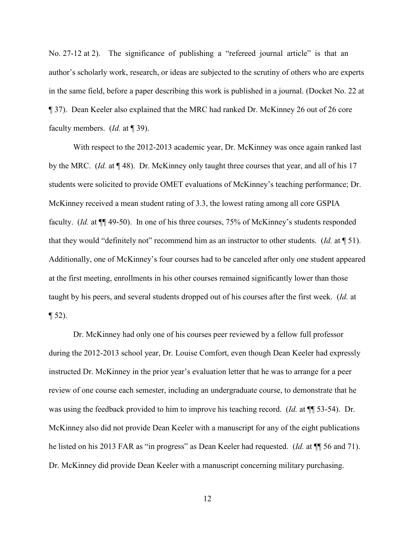No. 27-12 at 2). The significance of publishing a "refereed journal article" is that an author's scholarly work, research, or ideas are subjected to the scrutiny of others who are experts in the same field, before a paper describing this work is published in a journal. (Docket No. 22 at ¶ 37). Dean Keeler also explained that the MRC had ranked Dr. McKinney 26 out of 26 core faculty members. (*Id.* at ¶ 39).

With respect to the 2012-2013 academic year, Dr. McKinney was once again ranked last by the MRC. (*Id.* at ¶ 48). Dr. McKinney only taught three courses that year, and all of his 17 students were solicited to provide OMET evaluations of McKinney's teaching performance; Dr. McKinney received a mean student rating of 3.3, the lowest rating among all core GSPIA faculty. (*Id.* at ¶¶ 49-50). In one of his three courses, 75% of McKinney's students responded that they would "definitely not" recommend him as an instructor to other students. (*Id.* at ¶ 51). Additionally, one of McKinney's four courses had to be canceled after only one student appeared at the first meeting, enrollments in his other courses remained significantly lower than those taught by his peers, and several students dropped out of his courses after the first week. (*Id.* at  $\P$  52).

Dr. McKinney had only one of his courses peer reviewed by a fellow full professor during the 2012-2013 school year, Dr. Louise Comfort, even though Dean Keeler had expressly instructed Dr. McKinney in the prior year's evaluation letter that he was to arrange for a peer review of one course each semester, including an undergraduate course, to demonstrate that he was using the feedback provided to him to improve his teaching record. (*Id.* at ¶¶ 53-54). Dr. McKinney also did not provide Dean Keeler with a manuscript for any of the eight publications he listed on his 2013 FAR as "in progress" as Dean Keeler had requested. (*Id.* at ¶¶ 56 and 71). Dr. McKinney did provide Dean Keeler with a manuscript concerning military purchasing.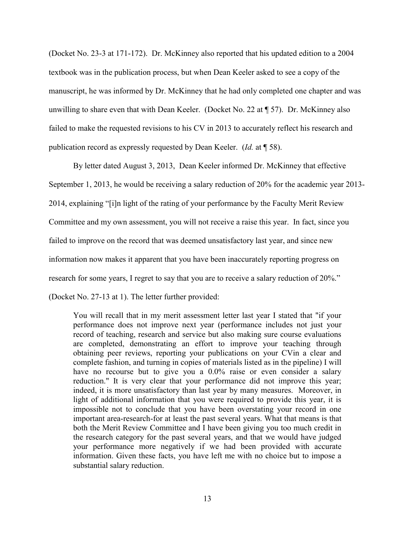(Docket No. 23-3 at 171-172). Dr. McKinney also reported that his updated edition to a 2004 textbook was in the publication process, but when Dean Keeler asked to see a copy of the manuscript, he was informed by Dr. McKinney that he had only completed one chapter and was unwilling to share even that with Dean Keeler. (Docket No. 22 at ¶ 57). Dr. McKinney also failed to make the requested revisions to his CV in 2013 to accurately reflect his research and publication record as expressly requested by Dean Keeler. (*Id.* at ¶ 58).

By letter dated August 3, 2013, Dean Keeler informed Dr. McKinney that effective September 1, 2013, he would be receiving a salary reduction of 20% for the academic year 2013- 2014, explaining "[i]n light of the rating of your performance by the Faculty Merit Review Committee and my own assessment, you will not receive a raise this year. In fact, since you failed to improve on the record that was deemed unsatisfactory last year, and since new information now makes it apparent that you have been inaccurately reporting progress on research for some years, I regret to say that you are to receive a salary reduction of 20%." (Docket No. 27-13 at 1). The letter further provided:

You will recall that in my merit assessment letter last year I stated that "if your performance does not improve next year (performance includes not just your record of teaching, research and service but also making sure course evaluations are completed, demonstrating an effort to improve your teaching through obtaining peer reviews, reporting your publications on your CVin a clear and complete fashion, and turning in copies of materials listed as in the pipeline) I will have no recourse but to give you a 0.0% raise or even consider a salary reduction." It is very clear that your performance did not improve this year; indeed, it is more unsatisfactory than last year by many measures. Moreover, in light of additional information that you were required to provide this year, it is impossible not to conclude that you have been overstating your record in one important area-research-for at least the past several years. What that means is that both the Merit Review Committee and I have been giving you too much credit in the research category for the past several years, and that we would have judged your performance more negatively if we had been provided with accurate information. Given these facts, you have left me with no choice but to impose a substantial salary reduction.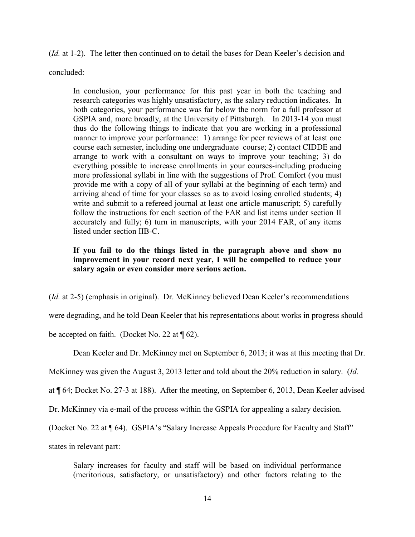(*Id.* at 1-2). The letter then continued on to detail the bases for Dean Keeler's decision and concluded:

In conclusion, your performance for this past year in both the teaching and research categories was highly unsatisfactory, as the salary reduction indicates. In both categories, your performance was far below the norm for a full professor at GSPIA and, more broadly, at the University of Pittsburgh. In 2013-14 you must thus do the following things to indicate that you are working in a professional manner to improve your performance: 1) arrange for peer reviews of at least one course each semester, including one undergraduate course; 2) contact CIDDE and arrange to work with a consultant on ways to improve your teaching; 3) do everything possible to increase enrollments in your courses-including producing more professional syllabi in line with the suggestions of Prof. Comfort (you must provide me with a copy of all of your syllabi at the beginning of each term) and arriving ahead of time for your classes so as to avoid losing enrolled students; 4) write and submit to a refereed journal at least one article manuscript; 5) carefully follow the instructions for each section of the FAR and list items under section II accurately and fully; 6) turn in manuscripts, with your 2014 FAR, of any items listed under section IIB-C.

# **If you fail to do the things listed in the paragraph above and show no improvement in your record next year, I will be compelled to reduce your salary again or even consider more serious action.**

(*Id.* at 2-5) (emphasis in original). Dr. McKinney believed Dean Keeler's recommendations

were degrading, and he told Dean Keeler that his representations about works in progress should

be accepted on faith. (Docket No. 22 at  $\P$  62).

Dean Keeler and Dr. McKinney met on September 6, 2013; it was at this meeting that Dr.

McKinney was given the August 3, 2013 letter and told about the 20% reduction in salary. (*Id.*

at ¶ 64; Docket No. 27-3 at 188). After the meeting, on September 6, 2013, Dean Keeler advised

Dr. McKinney via e-mail of the process within the GSPIA for appealing a salary decision.

(Docket No. 22 at ¶ 64). GSPIA's "Salary Increase Appeals Procedure for Faculty and Staff"

states in relevant part:

Salary increases for faculty and staff will be based on individual performance (meritorious, satisfactory, or unsatisfactory) and other factors relating to the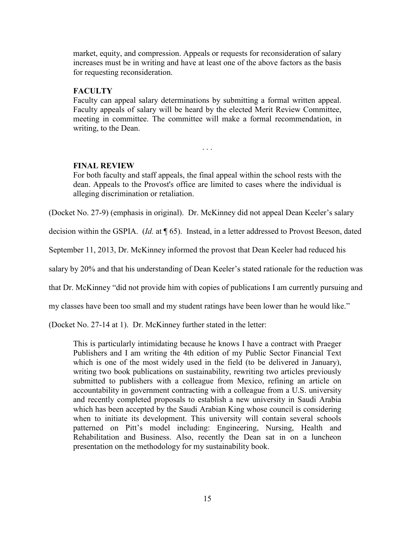market, equity, and compression. Appeals or requests for reconsideration of salary increases must be in writing and have at least one of the above factors as the basis for requesting reconsideration.

## **FACULTY**

Faculty can appeal salary determinations by submitting a formal written appeal. Faculty appeals of salary will be heard by the elected Merit Review Committee, meeting in committee. The committee will make a formal recommendation, in writing, to the Dean.

. . .

**FINAL REVIEW**

For both faculty and staff appeals, the final appeal within the school rests with the dean. Appeals to the Provost's office are limited to cases where the individual is alleging discrimination or retaliation.

(Docket No. 27-9) (emphasis in original). Dr. McKinney did not appeal Dean Keeler's salary

decision within the GSPIA. (*Id.* at ¶ 65). Instead, in a letter addressed to Provost Beeson, dated

September 11, 2013, Dr. McKinney informed the provost that Dean Keeler had reduced his

salary by 20% and that his understanding of Dean Keeler's stated rationale for the reduction was

that Dr. McKinney "did not provide him with copies of publications I am currently pursuing and

my classes have been too small and my student ratings have been lower than he would like."

(Docket No. 27-14 at 1). Dr. McKinney further stated in the letter:

This is particularly intimidating because he knows I have a contract with Praeger Publishers and I am writing the 4th edition of my Public Sector Financial Text which is one of the most widely used in the field (to be delivered in January), writing two book publications on sustainability, rewriting two articles previously submitted to publishers with a colleague from Mexico, refining an article on accountability in government contracting with a colleague from a U.S. university and recently completed proposals to establish a new university in Saudi Arabia which has been accepted by the Saudi Arabian King whose council is considering when to initiate its development. This university will contain several schools patterned on Pitt's model including: Engineering, Nursing, Health and Rehabilitation and Business. Also, recently the Dean sat in on a luncheon presentation on the methodology for my sustainability book.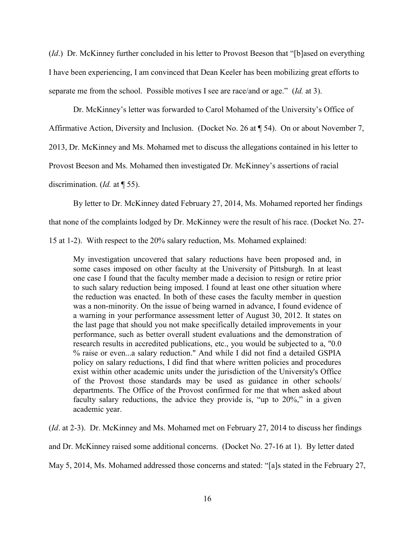(*Id*.) Dr. McKinney further concluded in his letter to Provost Beeson that "[b]ased on everything I have been experiencing, I am convinced that Dean Keeler has been mobilizing great efforts to separate me from the school. Possible motives I see are race/and or age." (*Id.* at 3).

Dr. McKinney's letter was forwarded to Carol Mohamed of the University's Office of

Affirmative Action, Diversity and Inclusion. (Docket No. 26 at ¶ 54). On or about November 7,

2013, Dr. McKinney and Ms. Mohamed met to discuss the allegations contained in his letter to

Provost Beeson and Ms. Mohamed then investigated Dr. McKinney's assertions of racial

discrimination. (*Id.* at ¶ 55).

By letter to Dr. McKinney dated February 27, 2014, Ms. Mohamed reported her findings

that none of the complaints lodged by Dr. McKinney were the result of his race. (Docket No. 27-

15 at 1-2). With respect to the 20% salary reduction, Ms. Mohamed explained:

My investigation uncovered that salary reductions have been proposed and, in some cases imposed on other faculty at the University of Pittsburgh. In at least one case I found that the faculty member made a decision to resign or retire prior to such salary reduction being imposed. I found at least one other situation where the reduction was enacted. In both of these cases the faculty member in question was a non-minority. On the issue of being warned in advance, I found evidence of a warning in your performance assessment letter of August 30, 2012. It states on the last page that should you not make specifically detailed improvements in your performance, such as better overall student evaluations and the demonstration of research results in accredited publications, etc., you would be subjected to a, "0.0 % raise or even...a salary reduction." And while I did not find a detailed GSPIA policy on salary reductions, I did find that where written policies and procedures exist within other academic units under the jurisdiction of the University's Office of the Provost those standards may be used as guidance in other schools/ departments. The Office of the Provost confirmed for me that when asked about faculty salary reductions, the advice they provide is, "up to 20%," in a given academic year.

(*Id*. at 2-3). Dr. McKinney and Ms. Mohamed met on February 27, 2014 to discuss her findings

and Dr. McKinney raised some additional concerns. (Docket No. 27-16 at 1). By letter dated

May 5, 2014, Ms. Mohamed addressed those concerns and stated: "[a]s stated in the February 27,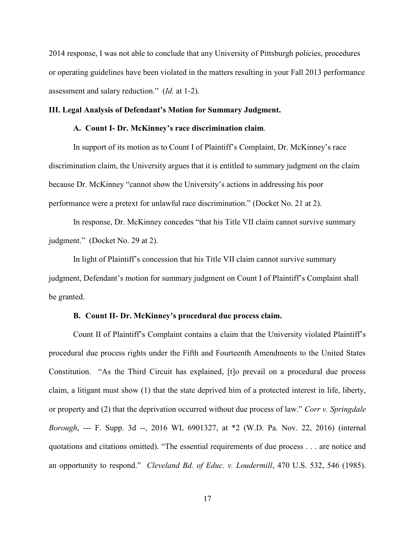2014 response, I was not able to conclude that any University of Pittsburgh policies, procedures or operating guidelines have been violated in the matters resulting in your Fall 2013 performance assessment and salary reduction." (*Id.* at 1-2).

#### **III. Legal Analysis of Defendant's Motion for Summary Judgment.**

#### **A. Count I- Dr. McKinney's race discrimination claim**.

In support of its motion as to Count I of Plaintiff's Complaint, Dr. McKinney's race discrimination claim, the University argues that it is entitled to summary judgment on the claim because Dr. McKinney "cannot show the University's actions in addressing his poor performance were a pretext for unlawful race discrimination." (Docket No. 21 at 2).

In response, Dr. McKinney concedes "that his Title VII claim cannot survive summary judgment." (Docket No. 29 at 2).

In light of Plaintiff's concession that his Title VII claim cannot survive summary judgment, Defendant's motion for summary judgment on Count I of Plaintiff's Complaint shall be granted.

#### **B. Count II- Dr. McKinney's procedural due process claim.**

Count II of Plaintiff's Complaint contains a claim that the University violated Plaintiff's procedural due process rights under the Fifth and Fourteenth Amendments to the United States Constitution. "As the Third Circuit has explained, [t]o prevail on a procedural due process claim, a litigant must show (1) that the state deprived him of a protected interest in life, liberty, or property and (2) that the deprivation occurred without due process of law." *Corr v. Springdale Borough*, --- F. Supp. 3d --, 2016 WL 6901327, at \*2 (W.D. Pa. Nov. 22, 2016) (internal quotations and citations omitted). "The essential requirements of due process . . . are notice and an opportunity to respond." *Cleveland Bd. of Educ. v. Loudermill*, 470 U.S. 532, 546 (1985).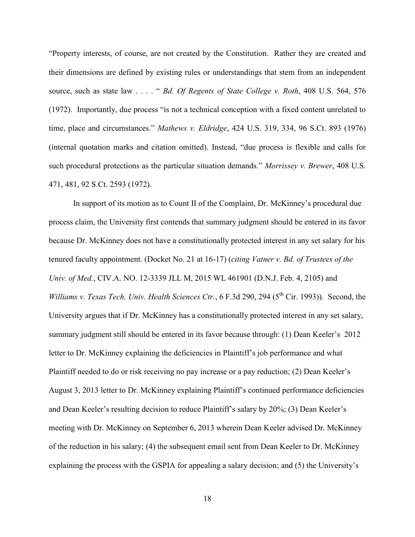"Property interests, of course, are not created by the Constitution. Rather they are created and their dimensions are defined by existing rules or understandings that stem from an independent source, such as state law . . . . " *Bd. Of Regents of State College v. Roth*, 408 U.S. 564, 576 (1972). Importantly, due process "is not a technical conception with a fixed content unrelated to time, place and circumstances." *Mathews v. Eldridge*, 424 U.S. 319, 334, 96 S.Ct. 893 (1976) (internal quotation marks and citation omitted). Instead, "due process is flexible and calls for such procedural protections as the particular situation demands." *Morrissey v. Brewer*, 408 U.S. 471, 481, 92 S.Ct. 2593 (1972).

In support of its motion as to Count II of the Complaint, Dr. McKinney's procedural due process claim, the University first contends that summary judgment should be entered in its favor because Dr. McKinney does not have a constitutionally protected interest in any set salary for his tenured faculty appointment. (Docket No. 21 at 16-17) (*citing Vatner v. Bd. of Trustees of the Univ. of Med.*, CIV.A. NO. 12-3339 JLL M, 2015 WL 461901 (D.N.J. Feb. 4, 2105) and *Williams v. Texas Tech. Univ. Health Sciences Ctr.*, 6 F.3d 290, 294 (5<sup>th</sup> Cir. 1993)). Second, the University argues that if Dr. McKinney has a constitutionally protected interest in any set salary, summary judgment still should be entered in its favor because through: (1) Dean Keeler's 2012 letter to Dr. McKinney explaining the deficiencies in Plaintiff's job performance and what Plaintiff needed to do or risk receiving no pay increase or a pay reduction; (2) Dean Keeler's August 3, 2013 letter to Dr. McKinney explaining Plaintiff's continued performance deficiencies and Dean Keeler's resulting decision to reduce Plaintiff's salary by 20%; (3) Dean Keeler's meeting with Dr. McKinney on September 6, 2013 wherein Dean Keeler advised Dr. McKinney of the reduction in his salary; (4) the subsequent email sent from Dean Keeler to Dr. McKinney explaining the process with the GSPIA for appealing a salary decision; and (5) the University's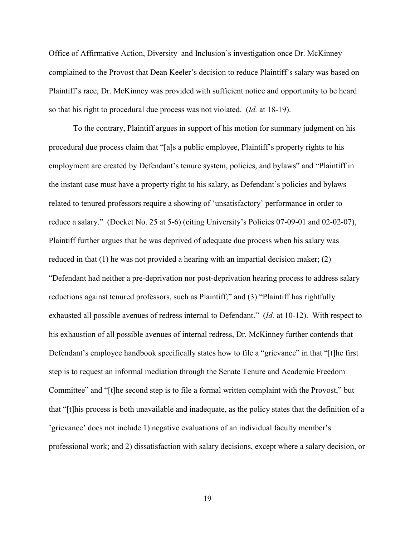Office of Affirmative Action, Diversity and Inclusion's investigation once Dr. McKinney complained to the Provost that Dean Keeler's decision to reduce Plaintiff's salary was based on Plaintiff's race, Dr. McKinney was provided with sufficient notice and opportunity to be heard so that his right to procedural due process was not violated. (*Id.* at 18-19).

To the contrary, Plaintiff argues in support of his motion for summary judgment on his procedural due process claim that "[a]s a public employee, Plaintiff's property rights to his employment are created by Defendant's tenure system, policies, and bylaws" and "Plaintiff in the instant case must have a property right to his salary, as Defendant's policies and bylaws related to tenured professors require a showing of 'unsatisfactory' performance in order to reduce a salary." (Docket No. 25 at 5-6) (citing University's Policies 07-09-01 and 02-02-07), Plaintiff further argues that he was deprived of adequate due process when his salary was reduced in that (1) he was not provided a hearing with an impartial decision maker; (2) "Defendant had neither a pre-deprivation nor post-deprivation hearing process to address salary reductions against tenured professors, such as Plaintiff;" and (3) "Plaintiff has rightfully exhausted all possible avenues of redress internal to Defendant." (*Id.* at 10-12). With respect to his exhaustion of all possible avenues of internal redress, Dr. McKinney further contends that Defendant's employee handbook specifically states how to file a "grievance" in that "[t]he first step is to request an informal mediation through the Senate Tenure and Academic Freedom Committee" and "[t]he second step is to file a formal written complaint with the Provost," but that "[t]his process is both unavailable and inadequate, as the policy states that the definition of a 'grievance' does not include 1) negative evaluations of an individual faculty member's professional work; and 2) dissatisfaction with salary decisions, except where a salary decision, or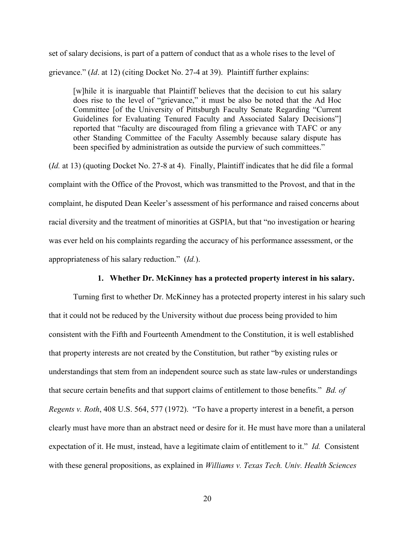set of salary decisions, is part of a pattern of conduct that as a whole rises to the level of grievance." (*Id*. at 12) (citing Docket No. 27-4 at 39). Plaintiff further explains:

[w]hile it is inarguable that Plaintiff believes that the decision to cut his salary does rise to the level of "grievance," it must be also be noted that the Ad Hoc Committee [of the University of Pittsburgh Faculty Senate Regarding "Current Guidelines for Evaluating Tenured Faculty and Associated Salary Decisions"] reported that "faculty are discouraged from filing a grievance with TAFC or any other Standing Committee of the Faculty Assembly because salary dispute has been specified by administration as outside the purview of such committees."

(*Id.* at 13) (quoting Docket No. 27-8 at 4). Finally, Plaintiff indicates that he did file a formal complaint with the Office of the Provost, which was transmitted to the Provost, and that in the complaint, he disputed Dean Keeler's assessment of his performance and raised concerns about racial diversity and the treatment of minorities at GSPIA, but that "no investigation or hearing was ever held on his complaints regarding the accuracy of his performance assessment, or the appropriateness of his salary reduction." (*Id.*).

#### **1. Whether Dr. McKinney has a protected property interest in his salary.**

Turning first to whether Dr. McKinney has a protected property interest in his salary such that it could not be reduced by the University without due process being provided to him consistent with the Fifth and Fourteenth Amendment to the Constitution, it is well established that property interests are not created by the Constitution, but rather "by existing rules or understandings that stem from an independent source such as state law-rules or understandings that secure certain benefits and that support claims of entitlement to those benefits." *Bd. of Regents v. Roth*, 408 U.S. 564, 577 (1972). "To have a property interest in a benefit, a person clearly must have more than an abstract need or desire for it. He must have more than a unilateral expectation of it. He must, instead, have a legitimate claim of entitlement to it." *Id.* Consistent with these general propositions, as explained in *Williams v. Texas Tech. Univ. Health Sciences*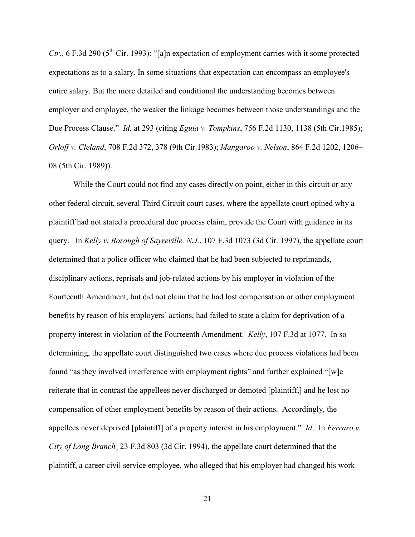*Ctr.*, 6 F.3d 290 ( $5^{\text{th}}$  Cir. 1993): "[a]n expectation of employment carries with it some protected expectations as to a salary. In some situations that expectation can encompass an employee's entire salary. But the more detailed and conditional the understanding becomes between employer and employee, the weaker the linkage becomes between those understandings and the Due Process Clause." *Id.* at 293 (citing *Eguia v. Tompkins*, 756 F.2d 1130, 1138 (5th Cir.1985); *Orloff v. Cleland*, 708 F.2d 372, 378 (9th Cir.1983); *Mangaroo v. Nelson*, 864 F.2d 1202, 1206– 08 (5th Cir. 1989)).

While the Court could not find any cases directly on point, either in this circuit or any other federal circuit, several Third Circuit court cases, where the appellate court opined why a plaintiff had not stated a procedural due process claim, provide the Court with guidance in its query. In *Kelly v. Borough of Sayreville, N.J.*, 107 F.3d 1073 (3d Cir. 1997), the appellate court determined that a police officer who claimed that he had been subjected to reprimands, disciplinary actions, reprisals and job-related actions by his employer in violation of the Fourteenth Amendment, but did not claim that he had lost compensation or other employment benefits by reason of his employers' actions, had failed to state a claim for deprivation of a property interest in violation of the Fourteenth Amendment. *Kelly*, 107 F.3d at 1077. In so determining, the appellate court distinguished two cases where due process violations had been found "as they involved interference with employment rights" and further explained "[w]e reiterate that in contrast the appellees never discharged or demoted [plaintiff,] and he lost no compensation of other employment benefits by reason of their actions. Accordingly, the appellees never deprived [plaintiff] of a property interest in his employment." *Id*. In *Ferraro v. City of Long Branch*¸ 23 F.3d 803 (3d Cir. 1994), the appellate court determined that the plaintiff, a career civil service employee, who alleged that his employer had changed his work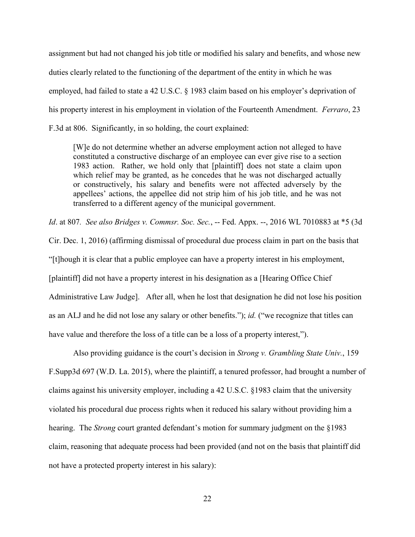assignment but had not changed his job title or modified his salary and benefits, and whose new duties clearly related to the functioning of the department of the entity in which he was employed, had failed to state a 42 U.S.C. § 1983 claim based on his employer's deprivation of his property interest in his employment in violation of the Fourteenth Amendment. *Ferraro*, 23 F.3d at 806. Significantly, in so holding, the court explained:

[W]e do not determine whether an adverse employment action not alleged to have constituted a constructive discharge of an employee can ever give rise to a section 1983 action. Rather, we hold only that [plaintiff] does not state a claim upon which relief may be granted, as he concedes that he was not discharged actually or constructively, his salary and benefits were not affected adversely by the appellees' actions, the appellee did not strip him of his job title, and he was not transferred to a different agency of the municipal government.

*Id*. at 807*. See also Bridges v. Commsr. Soc. Sec.*, -- Fed. Appx. --, 2016 WL 7010883 at \*5 (3d Cir. Dec. 1, 2016) (affirming dismissal of procedural due process claim in part on the basis that "[t]hough it is clear that a public employee can have a property interest in his employment, [plaintiff] did not have a property interest in his designation as a [Hearing Office Chief Administrative Law Judge]. After all, when he lost that designation he did not lose his position as an ALJ and he did not lose any salary or other benefits."); *id.* ("we recognize that titles can have value and therefore the loss of a title can be a loss of a property interest,").

Also providing guidance is the court's decision in *Strong v. Grambling State Univ.*, 159 F.Supp3d 697 (W.D. La. 2015), where the plaintiff, a tenured professor, had brought a number of claims against his university employer, including a 42 U.S.C. §1983 claim that the university violated his procedural due process rights when it reduced his salary without providing him a hearing. The *Strong* court granted defendant's motion for summary judgment on the §1983 claim, reasoning that adequate process had been provided (and not on the basis that plaintiff did not have a protected property interest in his salary):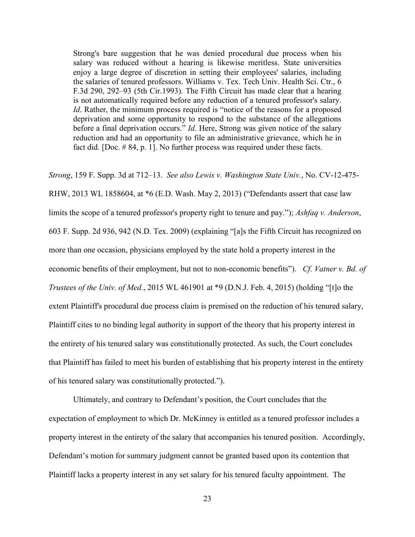Strong's bare suggestion that he was denied procedural due process when his salary was reduced without a hearing is likewise meritless. State universities enjoy a large degree of discretion in setting their employees' salaries, including the salaries of tenured professors. Williams v. Tex. Tech Univ. Health Sci. Ctr., 6 F.3d 290, 292–93 (5th Cir.1993). The Fifth Circuit has made clear that a hearing is not automatically required before any reduction of a tenured professor's salary. *Id*. Rather, the minimum process required is "notice of the reasons for a proposed deprivation and some opportunity to respond to the substance of the allegations before a final deprivation occurs." *Id*. Here, Strong was given notice of the salary reduction and had an opportunity to file an administrative grievance, which he in fact did. [Doc. # 84, p. 1]. No further process was required under these facts.

*Strong*, 159 F. Supp. 3d at 712–13. *See also Lewis v. Washington State Univ.*, No. CV-12-475- RHW, 2013 WL 1858604, at \*6 (E.D. Wash. May 2, 2013) ("Defendants assert that case law limits the scope of a tenured professor's property right to tenure and pay."); *Ashfaq v. Anderson*, 603 F. Supp. 2d 936, 942 (N.D. Tex. 2009) (explaining "[a]s the Fifth Circuit has recognized on more than one occasion, physicians employed by the state hold a property interest in the economic benefits of their employment, but not to non-economic benefits"). *Cf. Vatner v. Bd. of Trustees of the Univ. of Med.*, 2015 WL 461901 at \*9 (D.N.J. Feb. 4, 2015) (holding "[t]o the extent Plaintiff's procedural due process claim is premised on the reduction of his tenured salary, Plaintiff cites to no binding legal authority in support of the theory that his property interest in the entirety of his tenured salary was constitutionally protected. As such, the Court concludes that Plaintiff has failed to meet his burden of establishing that his property interest in the entirety of his tenured salary was constitutionally protected.").

Ultimately, and contrary to Defendant's position, the Court concludes that the expectation of employment to which Dr. McKinney is entitled as a tenured professor includes a property interest in the entirety of the salary that accompanies his tenured position. Accordingly, Defendant's motion for summary judgment cannot be granted based upon its contention that Plaintiff lacks a property interest in any set salary for his tenured faculty appointment. The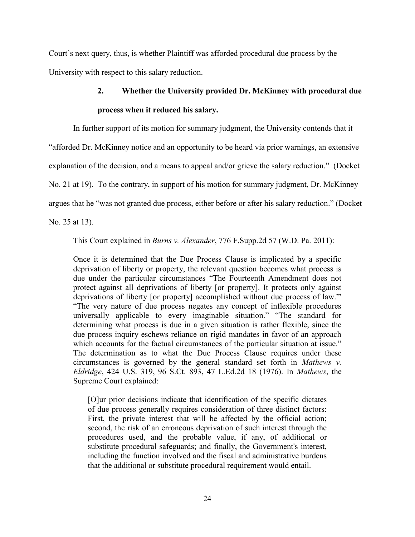Court's next query, thus, is whether Plaintiff was afforded procedural due process by the University with respect to this salary reduction.

# **2. Whether the University provided Dr. McKinney with procedural due process when it reduced his salary.**

In further support of its motion for summary judgment, the University contends that it

"afforded Dr. McKinney notice and an opportunity to be heard via prior warnings, an extensive

explanation of the decision, and a means to appeal and/or grieve the salary reduction." (Docket

No. 21 at 19). To the contrary, in support of his motion for summary judgment, Dr. McKinney

argues that he "was not granted due process, either before or after his salary reduction." (Docket

No. 25 at 13).

This Court explained in *Burns v. Alexander*, 776 F.Supp.2d 57 (W.D. Pa. 2011):

Once it is determined that the Due Process Clause is implicated by a specific deprivation of liberty or property, the relevant question becomes what process is due under the particular circumstances "The Fourteenth Amendment does not protect against all deprivations of liberty [or property]. It protects only against deprivations of liberty [or property] accomplished without due process of law."' "The very nature of due process negates any concept of inflexible procedures universally applicable to every imaginable situation." "The standard for determining what process is due in a given situation is rather flexible, since the due process inquiry eschews reliance on rigid mandates in favor of an approach which accounts for the factual circumstances of the particular situation at issue." The determination as to what the Due Process Clause requires under these circumstances is governed by the general standard set forth in *Mathews v. Eldridge*, 424 U.S. 319, 96 S.Ct. 893, 47 L.Ed.2d 18 (1976). In *Mathews*, the Supreme Court explained:

[O]ur prior decisions indicate that identification of the specific dictates of due process generally requires consideration of three distinct factors: First, the private interest that will be affected by the official action; second, the risk of an erroneous deprivation of such interest through the procedures used, and the probable value, if any, of additional or substitute procedural safeguards; and finally, the Government's interest, including the function involved and the fiscal and administrative burdens that the additional or substitute procedural requirement would entail.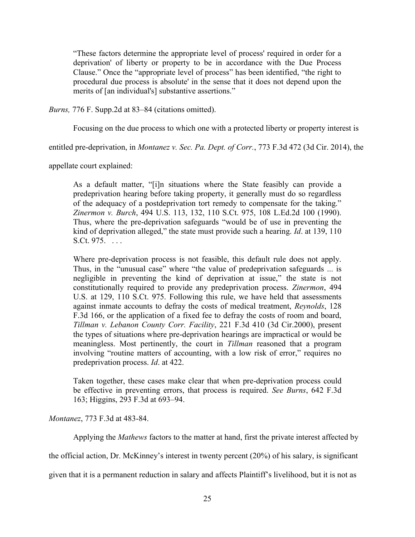"These factors determine the appropriate level of process' required in order for a deprivation' of liberty or property to be in accordance with the Due Process Clause." Once the "appropriate level of process" has been identified, "the right to procedural due process is absolute' in the sense that it does not depend upon the merits of [an individual's] substantive assertions."

*Burns,* 776 F. Supp.2d at 83–84 (citations omitted).

Focusing on the due process to which one with a protected liberty or property interest is

entitled pre-deprivation, in *Montanez v. Sec. Pa. Dept. of Corr.*, 773 F.3d 472 (3d Cir. 2014), the

appellate court explained:

As a default matter, "[i]n situations where the State feasibly can provide a predeprivation hearing before taking property, it generally must do so regardless of the adequacy of a postdeprivation tort remedy to compensate for the taking." *Zinermon v. Burch*, 494 U.S. 113, 132, 110 S.Ct. 975, 108 L.Ed.2d 100 (1990). Thus, where the pre-deprivation safeguards "would be of use in preventing the kind of deprivation alleged," the state must provide such a hearing. *Id*. at 139, 110 S.Ct. 975. . . . .

Where pre-deprivation process is not feasible, this default rule does not apply. Thus, in the "unusual case" where "the value of predeprivation safeguards ... is negligible in preventing the kind of deprivation at issue," the state is not constitutionally required to provide any predeprivation process. *Zinermon*, 494 U.S. at 129, 110 S.Ct. 975. Following this rule, we have held that assessments against inmate accounts to defray the costs of medical treatment, *Reynolds*, 128 F.3d 166, or the application of a fixed fee to defray the costs of room and board, *Tillman v. Lebanon County Corr. Facility*, 221 F.3d 410 (3d Cir.2000), present the types of situations where pre-deprivation hearings are impractical or would be meaningless. Most pertinently, the court in *Tillman* reasoned that a program involving "routine matters of accounting, with a low risk of error," requires no predeprivation process. *Id*. at 422.

Taken together, these cases make clear that when pre-deprivation process could be effective in preventing errors, that process is required. *See Burns*, 642 F.3d 163; Higgins, 293 F.3d at 693–94.

*Montanez*, 773 F.3d at 483-84.

Applying the *Mathews* factors to the matter at hand, first the private interest affected by

the official action, Dr. McKinney's interest in twenty percent (20%) of his salary, is significant

given that it is a permanent reduction in salary and affects Plaintiff's livelihood, but it is not as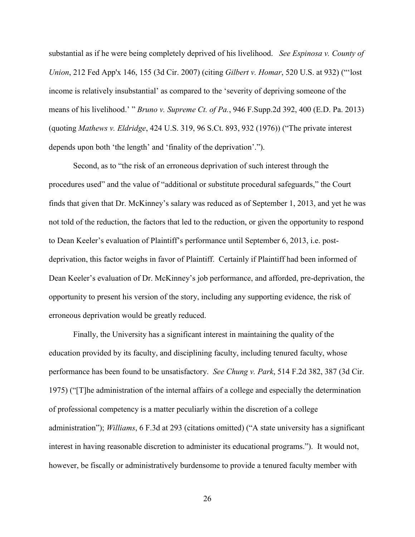substantial as if he were being completely deprived of his livelihood. *See Espinosa v. County of Union*, 212 Fed App'x 146, 155 (3d Cir. 2007) (citing *Gilbert v. Homar*, 520 U.S. at 932) ("'lost income is relatively insubstantial' as compared to the 'severity of depriving someone of the means of his livelihood.' " *Bruno v. Supreme Ct. of Pa.*, 946 F.Supp.2d 392, 400 (E.D. Pa. 2013) (quoting *Mathews v. Eldridge*, 424 U.S. 319, 96 S.Ct. 893, 932 (1976)) ("The private interest depends upon both 'the length' and 'finality of the deprivation'.").

Second, as to "the risk of an erroneous deprivation of such interest through the procedures used" and the value of "additional or substitute procedural safeguards," the Court finds that given that Dr. McKinney's salary was reduced as of September 1, 2013, and yet he was not told of the reduction, the factors that led to the reduction, or given the opportunity to respond to Dean Keeler's evaluation of Plaintiff's performance until September 6, 2013, i.e. postdeprivation, this factor weighs in favor of Plaintiff. Certainly if Plaintiff had been informed of Dean Keeler's evaluation of Dr. McKinney's job performance, and afforded, pre-deprivation, the opportunity to present his version of the story, including any supporting evidence, the risk of erroneous deprivation would be greatly reduced.

Finally, the University has a significant interest in maintaining the quality of the education provided by its faculty, and disciplining faculty, including tenured faculty, whose performance has been found to be unsatisfactory. *See Chung v. Park*, 514 F.2d 382, 387 (3d Cir. 1975) ("[T]he administration of the internal affairs of a college and especially the determination of professional competency is a matter peculiarly within the discretion of a college administration"); *Williams*, 6 F.3d at 293 (citations omitted) ("A state university has a significant interest in having reasonable discretion to administer its educational programs."). It would not, however, be fiscally or administratively burdensome to provide a tenured faculty member with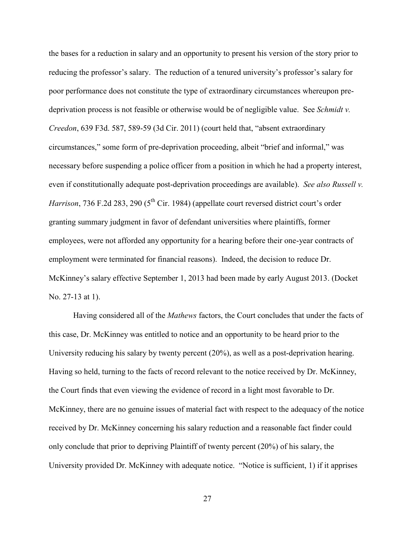the bases for a reduction in salary and an opportunity to present his version of the story prior to reducing the professor's salary. The reduction of a tenured university's professor's salary for poor performance does not constitute the type of extraordinary circumstances whereupon predeprivation process is not feasible or otherwise would be of negligible value. See *Schmidt v. Creedon*, 639 F3d. 587, 589-59 (3d Cir. 2011) (court held that, "absent extraordinary circumstances," some form of pre-deprivation proceeding, albeit "brief and informal," was necessary before suspending a police officer from a position in which he had a property interest, even if constitutionally adequate post-deprivation proceedings are available). *See also Russell v. Harrison*, 736 F.2d 283, 290 (5<sup>th</sup> Cir. 1984) (appellate court reversed district court's order granting summary judgment in favor of defendant universities where plaintiffs, former employees, were not afforded any opportunity for a hearing before their one-year contracts of employment were terminated for financial reasons). Indeed, the decision to reduce Dr. McKinney's salary effective September 1, 2013 had been made by early August 2013. (Docket No. 27-13 at 1).

Having considered all of the *Mathews* factors, the Court concludes that under the facts of this case, Dr. McKinney was entitled to notice and an opportunity to be heard prior to the University reducing his salary by twenty percent (20%), as well as a post-deprivation hearing. Having so held, turning to the facts of record relevant to the notice received by Dr. McKinney, the Court finds that even viewing the evidence of record in a light most favorable to Dr. McKinney, there are no genuine issues of material fact with respect to the adequacy of the notice received by Dr. McKinney concerning his salary reduction and a reasonable fact finder could only conclude that prior to depriving Plaintiff of twenty percent (20%) of his salary, the University provided Dr. McKinney with adequate notice. "Notice is sufficient, 1) if it apprises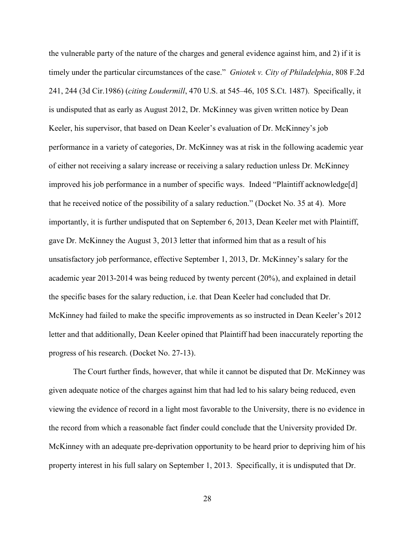the vulnerable party of the nature of the charges and general evidence against him, and 2) if it is timely under the particular circumstances of the case." *Gniotek v. City of Philadelphia*, 808 F.2d 241, 244 (3d Cir.1986) (*citing Loudermill*, 470 U.S. at 545–46, 105 S.Ct. 1487). Specifically, it is undisputed that as early as August 2012, Dr. McKinney was given written notice by Dean Keeler, his supervisor, that based on Dean Keeler's evaluation of Dr. McKinney's job performance in a variety of categories, Dr. McKinney was at risk in the following academic year of either not receiving a salary increase or receiving a salary reduction unless Dr. McKinney improved his job performance in a number of specific ways. Indeed "Plaintiff acknowledge[d] that he received notice of the possibility of a salary reduction." (Docket No. 35 at 4). More importantly, it is further undisputed that on September 6, 2013, Dean Keeler met with Plaintiff, gave Dr. McKinney the August 3, 2013 letter that informed him that as a result of his unsatisfactory job performance, effective September 1, 2013, Dr. McKinney's salary for the academic year 2013-2014 was being reduced by twenty percent (20%), and explained in detail the specific bases for the salary reduction, i.e. that Dean Keeler had concluded that Dr. McKinney had failed to make the specific improvements as so instructed in Dean Keeler's 2012 letter and that additionally, Dean Keeler opined that Plaintiff had been inaccurately reporting the progress of his research. (Docket No. 27-13).

The Court further finds, however, that while it cannot be disputed that Dr. McKinney was given adequate notice of the charges against him that had led to his salary being reduced, even viewing the evidence of record in a light most favorable to the University, there is no evidence in the record from which a reasonable fact finder could conclude that the University provided Dr. McKinney with an adequate pre-deprivation opportunity to be heard prior to depriving him of his property interest in his full salary on September 1, 2013. Specifically, it is undisputed that Dr.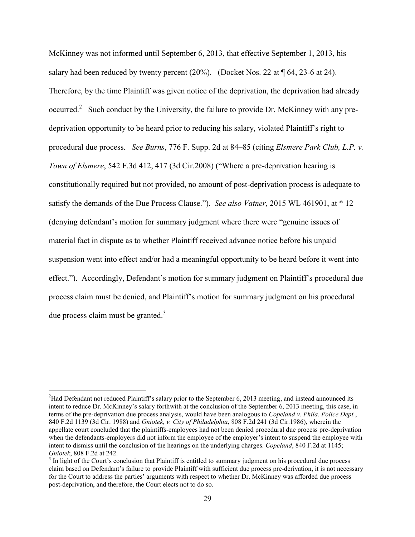McKinney was not informed until September 6, 2013, that effective September 1, 2013, his salary had been reduced by twenty percent  $(20\%)$ . (Docket Nos. 22 at  $\P$  64, 23-6 at 24). Therefore, by the time Plaintiff was given notice of the deprivation, the deprivation had already occurred.<sup>2</sup> Such conduct by the University, the failure to provide Dr. McKinney with any predeprivation opportunity to be heard prior to reducing his salary, violated Plaintiff's right to procedural due process. *See Burns*, 776 F. Supp. 2d at 84–85 (citing *Elsmere Park Club, L.P. v. Town of Elsmere*, 542 F.3d 412, 417 (3d Cir.2008) ("Where a pre-deprivation hearing is constitutionally required but not provided, no amount of post-deprivation process is adequate to satisfy the demands of the Due Process Clause."). *See also Vatner,* 2015 WL 461901, at \* 12 (denying defendant's motion for summary judgment where there were "genuine issues of material fact in dispute as to whether Plaintiff received advance notice before his unpaid suspension went into effect and/or had a meaningful opportunity to be heard before it went into effect."). Accordingly, Defendant's motion for summary judgment on Plaintiff's procedural due process claim must be denied, and Plaintiff's motion for summary judgment on his procedural due process claim must be granted. $3$ 

 $\overline{a}$ 

<sup>&</sup>lt;sup>2</sup>Had Defendant not reduced Plaintiff's salary prior to the September 6, 2013 meeting, and instead announced its intent to reduce Dr. McKinney's salary forthwith at the conclusion of the September 6, 2013 meeting, this case, in terms of the pre-deprivation due process analysis, would have been analogous to *Copeland v. Phila. Police Dept.*, 840 F.2d 1139 (3d Cir. 1988) and *Gniotek, v. City of Philadelphia*, 808 F.2d 241 (3d Cir.1986), wherein the appellate court concluded that the plaintiffs-employees had not been denied procedural due process pre-deprivation when the defendants-employers did not inform the employee of the employer's intent to suspend the employee with intent to dismiss until the conclusion of the hearings on the underlying charges. *Copeland*, 840 F.2d at 1145; *Gniotek*, 808 F.2d at 242.

 $3$  In light of the Court's conclusion that Plaintiff is entitled to summary judgment on his procedural due process claim based on Defendant's failure to provide Plaintiff with sufficient due process pre-derivation, it is not necessary for the Court to address the parties' arguments with respect to whether Dr. McKinney was afforded due process post-deprivation, and therefore, the Court elects not to do so.